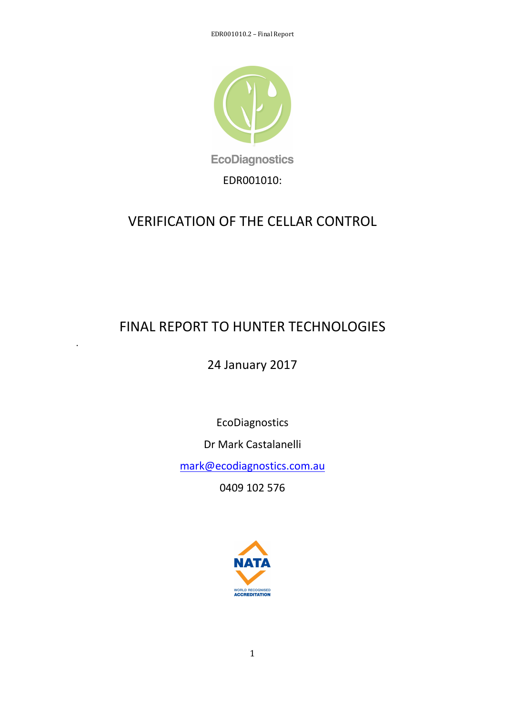

# VERIFICATION OF THE CELLAR CONTROL

# FINAL REPORT TO HUNTER TECHNOLOGIES

.

24 January 2017

EcoDiagnostics

Dr Mark Castalanelli

mark@ecodiagnostics.com.au

0409 102 576

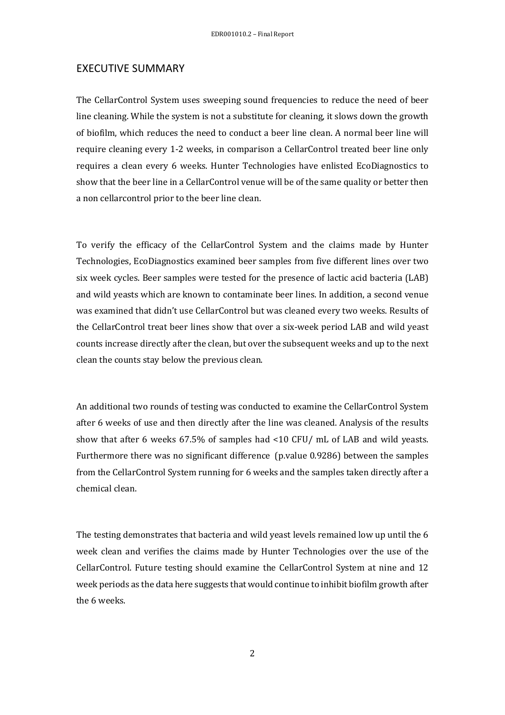## EXECUTIVE SUMMARY

The CellarControl System uses sweeping sound frequencies to reduce the need of beer line cleaning. While the system is not a substitute for cleaning, it slows down the growth of biofilm, which reduces the need to conduct a beer line clean. A normal beer line will require cleaning every 1-2 weeks, in comparison a CellarControl treated beer line only requires a clean every 6 weeks. Hunter Technologies have enlisted EcoDiagnostics to show that the beer line in a CellarControl venue will be of the same quality or better then a non cellarcontrol prior to the beer line clean.

To verify the efficacy of the CellarControl System and the claims made by Hunter Technologies, EcoDiagnostics examined beer samples from five different lines over two six week cycles. Beer samples were tested for the presence of lactic acid bacteria (LAB) and wild yeasts which are known to contaminate beer lines. In addition, a second venue was examined that didn't use CellarControl but was cleaned every two weeks. Results of the CellarControl treat beer lines show that over a six-week period LAB and wild yeast counts increase directly after the clean, but over the subsequent weeks and up to the next clean the counts stay below the previous clean.

An additional two rounds of testing was conducted to examine the CellarControl System after 6 weeks of use and then directly after the line was cleaned. Analysis of the results show that after 6 weeks 67.5% of samples had <10 CFU/ mL of LAB and wild yeasts. Furthermore there was no significant difference (p.value 0.9286) between the samples from the CellarControl System running for 6 weeks and the samples taken directly after a chemical clean.

The testing demonstrates that bacteria and wild yeast levels remained low up until the 6 week clean and verifies the claims made by Hunter Technologies over the use of the CellarControl. Future testing should examine the CellarControl System at nine and 12 week periods as the data here suggests that would continue to inhibit biofilm growth after the 6 weeks.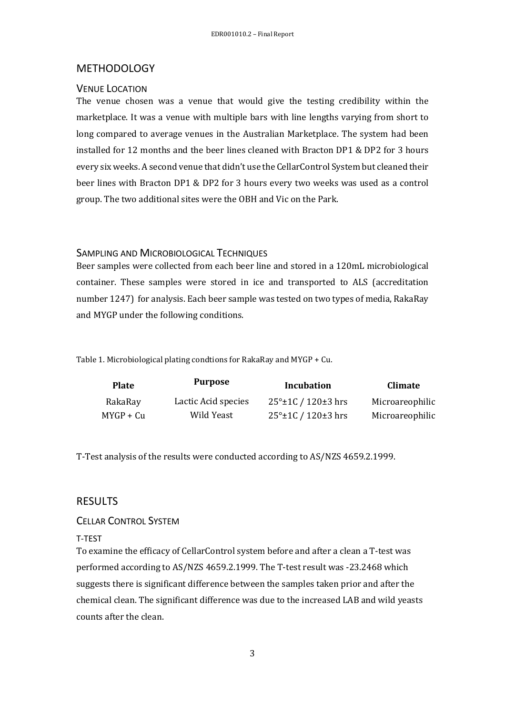## METHODOLOGY

## VENUE LOCATION

The venue chosen was a venue that would give the testing credibility within the marketplace. It was a venue with multiple bars with line lengths varying from short to long compared to average venues in the Australian Marketplace. The system had been installed for 12 months and the beer lines cleaned with Bracton DP1 & DP2 for 3 hours every six weeks. A second venue that didn't use the CellarControl System but cleaned their beer lines with Bracton DP1 & DP2 for 3 hours every two weeks was used as a control group. The two additional sites were the OBH and Vic on the Park.

# SAMPLING AND MICROBIOLOGICAL TECHNIQUES

Beer samples were collected from each beer line and stored in a 120mL microbiological container. These samples were stored in ice and transported to ALS (accreditation number 1247) for analysis. Each beer sample was tested on two types of media, RakaRay and MYGP under the following conditions.

Table 1. Microbiological plating condtions for RakaRay and MYGP + Cu.

| Plate       | <b>Purpose</b>      | Incubation                   | <b>Climate</b>  |
|-------------|---------------------|------------------------------|-----------------|
| RakaRay     | Lactic Acid species | $25^{\circ}$ ±1C / 120±3 hrs | Microareophilic |
| $MYGP + Cu$ | Wild Yeast          | $25^{\circ}$ ±1C / 120±3 hrs | Microareophilic |

T-Test analysis of the results were conducted according to AS/NZS 4659.2.1999.

# **RESULTS**

## CELLAR CONTROL SYSTEM

#### T-TEST

To examine the efficacy of CellarControl system before and after a clean a T-test was performed according to AS/NZS 4659.2.1999. The T-test result was -23.2468 which suggests there is significant difference between the samples taken prior and after the chemical clean. The significant difference was due to the increased LAB and wild yeasts counts after the clean.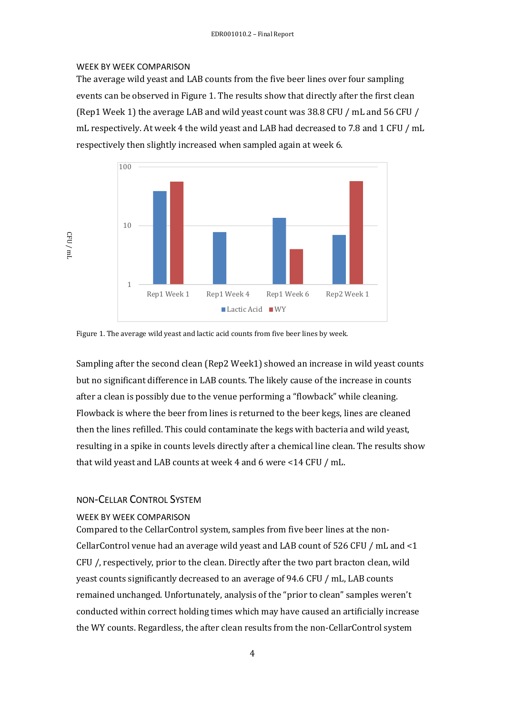#### WEEK BY WEEK COMPARISON

The average wild yeast and LAB counts from the five beer lines over four sampling events can be observed in Figure 1. The results show that directly after the first clean (Rep1 Week 1) the average LAB and wild yeast count was 38.8 CFU / mL and 56 CFU / mL respectively. At week 4 the wild yeast and LAB had decreased to 7.8 and 1 CFU / mL respectively then slightly increased when sampled again at week 6.



Figure 1. The average wild yeast and lactic acid counts from five beer lines by week.

Sampling after the second clean (Rep2 Week1) showed an increase in wild yeast counts but no significant difference in LAB counts. The likely cause of the increase in counts after a clean is possibly due to the venue performing a "flowback" while cleaning. Flowback is where the beer from lines is returned to the beer kegs, lines are cleaned then the lines refilled. This could contaminate the kegs with bacteria and wild yeast, resulting in a spike in counts levels directly after a chemical line clean. The results show that wild yeast and LAB counts at week 4 and 6 were <14 CFU / mL.

## NON-CELLAR CONTROL SYSTEM

#### WEEK BY WEEK COMPARISON

Compared to the CellarControl system, samples from five beer lines at the non-CellarControl venue had an average wild yeast and LAB count of 526 CFU / mL and <1 CFU /, respectively, prior to the clean. Directly after the two part bracton clean, wild yeast counts significantly decreased to an average of 94.6 CFU / mL, LAB counts remained unchanged. Unfortunately, analysis of the "prior to clean" samples weren't conducted within correct holding times which may have caused an artificially increase the WY counts. Regardless, the after clean results from the non-CellarControl system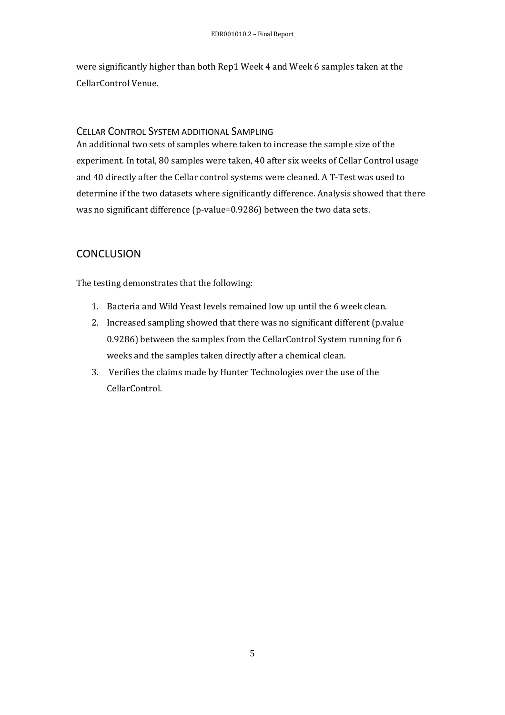were significantly higher than both Rep1 Week 4 and Week 6 samples taken at the CellarControl Venue.

# CELLAR CONTROL SYSTEM ADDITIONAL SAMPLING

An additional two sets of samples where taken to increase the sample size of the experiment. In total, 80 samples were taken, 40 after six weeks of Cellar Control usage and 40 directly after the Cellar control systems were cleaned. A T-Test was used to determine if the two datasets where significantly difference. Analysis showed that there was no significant difference (p-value=0.9286) between the two data sets.

# **CONCLUSION**

The testing demonstrates that the following:

- 1. Bacteria and Wild Yeast levels remained low up until the 6 week clean.
- 2. Increased sampling showed that there was no significant different (p.value 0.9286) between the samples from the CellarControl System running for 6 weeks and the samples taken directly after a chemical clean.
- 3. Verifies the claims made by Hunter Technologies over the use of the CellarControl.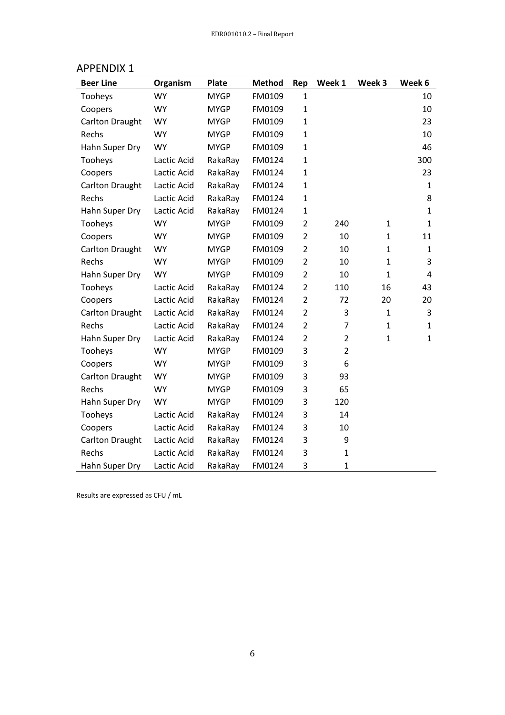| <b>Beer Line</b>       | Organism    | <b>Plate</b> | <b>Method</b> | Rep            | Week 1         | Week 3       | Week 6       |
|------------------------|-------------|--------------|---------------|----------------|----------------|--------------|--------------|
| Tooheys                | <b>WY</b>   | <b>MYGP</b>  | FM0109        | $\mathbf{1}$   |                |              | 10           |
| Coopers                | <b>WY</b>   | <b>MYGP</b>  | FM0109        | $\mathbf{1}$   |                |              | 10           |
| <b>Carlton Draught</b> | <b>WY</b>   | <b>MYGP</b>  | FM0109        | $\mathbf{1}$   |                |              | 23           |
| Rechs                  | <b>WY</b>   | <b>MYGP</b>  | FM0109        | $\mathbf{1}$   |                |              | 10           |
| Hahn Super Dry         | <b>WY</b>   | <b>MYGP</b>  | FM0109        | $\mathbf{1}$   |                |              | 46           |
| Tooheys                | Lactic Acid | RakaRay      | FM0124        | $\mathbf{1}$   |                |              | 300          |
| Coopers                | Lactic Acid | RakaRay      | FM0124        | $\mathbf{1}$   |                |              | 23           |
| <b>Carlton Draught</b> | Lactic Acid | RakaRay      | FM0124        | $\mathbf{1}$   |                |              | $\mathbf{1}$ |
| Rechs                  | Lactic Acid | RakaRay      | FM0124        | $\mathbf{1}$   |                |              | 8            |
| Hahn Super Dry         | Lactic Acid | RakaRay      | FM0124        | $\mathbf{1}$   |                |              | 1            |
| Tooheys                | <b>WY</b>   | <b>MYGP</b>  | FM0109        | $\overline{2}$ | 240            | $\mathbf{1}$ | $\mathbf{1}$ |
| Coopers                | <b>WY</b>   | <b>MYGP</b>  | FM0109        | $\overline{2}$ | 10             | $\mathbf{1}$ | 11           |
| <b>Carlton Draught</b> | <b>WY</b>   | <b>MYGP</b>  | FM0109        | $\overline{2}$ | 10             | $\mathbf{1}$ | $\mathbf{1}$ |
| Rechs                  | <b>WY</b>   | <b>MYGP</b>  | FM0109        | $\overline{2}$ | 10             | $\mathbf{1}$ | 3            |
| Hahn Super Dry         | <b>WY</b>   | <b>MYGP</b>  | FM0109        | $\overline{2}$ | 10             | $\mathbf{1}$ | 4            |
| Tooheys                | Lactic Acid | RakaRay      | FM0124        | $\overline{2}$ | 110            | 16           | 43           |
| Coopers                | Lactic Acid | RakaRay      | FM0124        | $\overline{2}$ | 72             | 20           | 20           |
| <b>Carlton Draught</b> | Lactic Acid | RakaRay      | FM0124        | $\overline{2}$ | 3              | $\mathbf{1}$ | 3            |
| Rechs                  | Lactic Acid | RakaRay      | FM0124        | $\overline{2}$ | 7              | $\mathbf{1}$ | 1            |
| Hahn Super Dry         | Lactic Acid | RakaRay      | FM0124        | $\overline{2}$ | $\overline{2}$ | $\mathbf{1}$ | 1            |
| Tooheys                | <b>WY</b>   | <b>MYGP</b>  | FM0109        | 3              | $\overline{2}$ |              |              |
| Coopers                | <b>WY</b>   | <b>MYGP</b>  | FM0109        | 3              | 6              |              |              |
| <b>Carlton Draught</b> | <b>WY</b>   | <b>MYGP</b>  | FM0109        | 3              | 93             |              |              |
| Rechs                  | <b>WY</b>   | <b>MYGP</b>  | FM0109        | 3              | 65             |              |              |
| Hahn Super Dry         | <b>WY</b>   | <b>MYGP</b>  | FM0109        | 3              | 120            |              |              |
| Tooheys                | Lactic Acid | RakaRay      | FM0124        | 3              | 14             |              |              |
| Coopers                | Lactic Acid | RakaRay      | FM0124        | 3              | 10             |              |              |
| <b>Carlton Draught</b> | Lactic Acid | RakaRay      | FM0124        | 3              | 9              |              |              |
| Rechs                  | Lactic Acid | RakaRay      | FM0124        | 3              | $\mathbf{1}$   |              |              |
| Hahn Super Dry         | Lactic Acid | RakaRay      | FM0124        | 3              | $\mathbf{1}$   |              |              |

# APPENDIX 1

Results are expressed as CFU / mL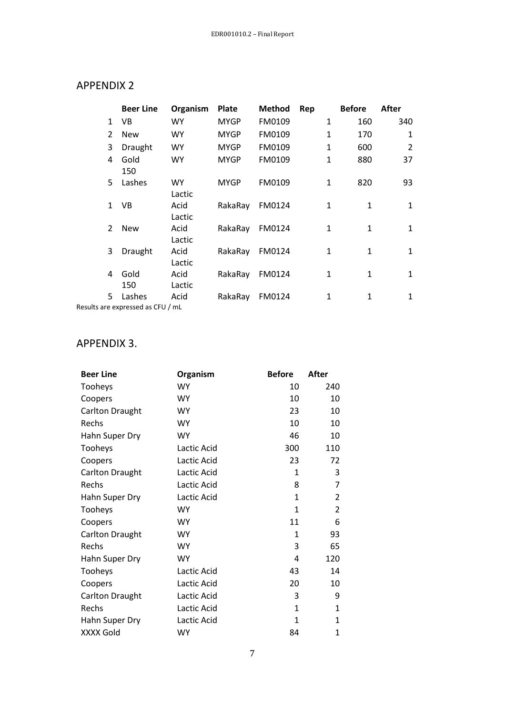# APPENDIX 2

|                | <b>Beer Line</b>                                      | Organism       | <b>Plate</b> | <b>Method</b> | Rep          | <b>Before</b> | After          |
|----------------|-------------------------------------------------------|----------------|--------------|---------------|--------------|---------------|----------------|
| $\mathbf{1}$   | VB.                                                   | <b>WY</b>      | <b>MYGP</b>  | FM0109        | $\mathbf{1}$ | 160           | 340            |
| 2              | <b>New</b>                                            | <b>WY</b>      | <b>MYGP</b>  | FM0109        | 1            | 170           | 1              |
| 3              | Draught                                               | <b>WY</b>      | <b>MYGP</b>  | FM0109        | $\mathbf{1}$ | 600           | $\overline{2}$ |
| 4              | Gold<br>150                                           | <b>WY</b>      | <b>MYGP</b>  | FM0109        | 1            | 880           | 37             |
| 5.             | Lashes                                                | WY.<br>Lactic  | <b>MYGP</b>  | FM0109        | 1            | 820           | 93             |
| 1              | VB.                                                   | Acid<br>Lactic | RakaRay      | FM0124        | 1            | 1             | 1              |
| $\mathfrak{p}$ | <b>New</b>                                            | Acid<br>Lactic | RakaRay      | FM0124        | $\mathbf{1}$ | $\mathbf{1}$  | $\mathbf{1}$   |
| 3              | Draught                                               | Acid<br>Lactic | RakaRay      | FM0124        | $\mathbf{1}$ | $\mathbf{1}$  | $\mathbf{1}$   |
| 4              | Gold<br>150                                           | Acid<br>Lactic | RakaRay      | FM0124        | 1            | 1             | 1              |
| 5.             | Lashes<br>$\cdot$ are everesceed as CELL $\ell$ music | Acid           | RakaRay      | FM0124        | 1            | 1             | 1              |

Results are expressed as CFU / mL

# APPENDIX 3.

| <b>Beer Line</b>       | Organism    | <b>Before</b> | After          |
|------------------------|-------------|---------------|----------------|
| Tooheys                | <b>WY</b>   | 10            | 240            |
| Coopers                | <b>WY</b>   | 10            | 10             |
| <b>Carlton Draught</b> | <b>WY</b>   | 23            | 10             |
| Rechs                  | <b>WY</b>   | 10            | 10             |
| Hahn Super Dry         | <b>WY</b>   | 46            | 10             |
| Tooheys                | Lactic Acid | 300           | 110            |
| Coopers                | Lactic Acid | 23            | 72             |
| <b>Carlton Draught</b> | Lactic Acid | 1             | 3              |
| Rechs                  | Lactic Acid | 8             | 7              |
| Hahn Super Dry         | Lactic Acid | $\mathbf{1}$  | $\overline{2}$ |
| Tooheys                | <b>WY</b>   | $\mathbf{1}$  | $\overline{2}$ |
| Coopers                | <b>WY</b>   | 11            | 6              |
| <b>Carlton Draught</b> | <b>WY</b>   | 1             | 93             |
| Rechs                  | <b>WY</b>   | 3             | 65             |
| Hahn Super Dry         | <b>WY</b>   | 4             | 120            |
| Tooheys                | Lactic Acid | 43            | 14             |
| Coopers                | Lactic Acid | 20            | 10             |
| <b>Carlton Draught</b> | Lactic Acid | 3             | 9              |
| Rechs                  | Lactic Acid | $\mathbf{1}$  | $\mathbf{1}$   |
| Hahn Super Dry         | Lactic Acid | 1             | $\mathbf{1}$   |
| <b>XXXX Gold</b>       | <b>WY</b>   | 84            | 1              |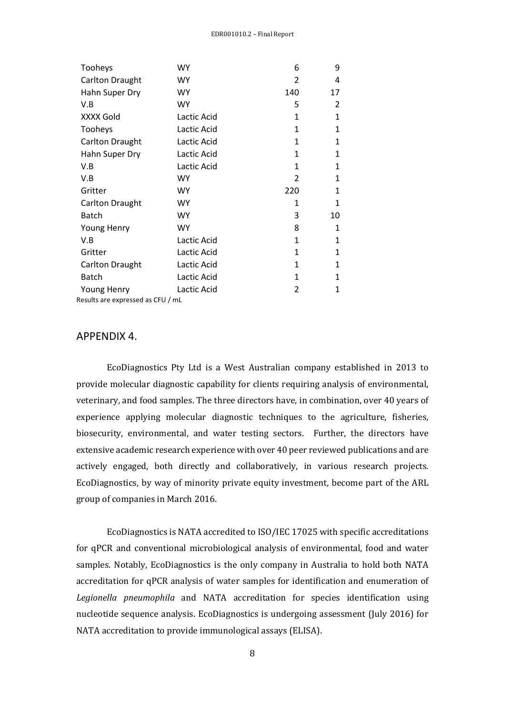| Tooheys                           | WY          | 6             | 9  |
|-----------------------------------|-------------|---------------|----|
| <b>Carlton Draught</b>            | <b>WY</b>   | 2             | 4  |
| Hahn Super Dry                    | <b>WY</b>   | 140           | 17 |
| V.B                               | <b>WY</b>   | 5             | 2  |
| XXXX Gold                         | Lactic Acid | $\mathbf{1}$  | 1  |
| Tooheys                           | Lactic Acid | $\mathbf{1}$  | 1  |
| <b>Carlton Draught</b>            | Lactic Acid | $\mathbf{1}$  | 1  |
| Hahn Super Dry                    | Lactic Acid | 1             | 1  |
| V.B                               | Lactic Acid | 1             | 1  |
| V.B                               | <b>WY</b>   | 2             | 1  |
| Gritter                           | <b>WY</b>   | 220           | 1  |
| <b>Carlton Draught</b>            | <b>WY</b>   | 1             | 1  |
| <b>Batch</b>                      | <b>WY</b>   | 3             | 10 |
| <b>Young Henry</b>                | <b>WY</b>   | 8             | 1  |
| V.B                               | Lactic Acid | $\mathbf{1}$  | 1  |
| Gritter                           | Lactic Acid | 1             | 1  |
| <b>Carlton Draught</b>            | Lactic Acid | 1             | 1  |
| <b>Batch</b>                      | Lactic Acid | 1             | 1  |
| Young Henry                       | Lactic Acid | $\mathfrak z$ | 1  |
| Results are expressed as CFU / mL |             |               |    |

## APPENDIX 4.

EcoDiagnostics Pty Ltd is a West Australian company established in 2013 to provide molecular diagnostic capability for clients requiring analysis of environmental, veterinary, and food samples. The three directors have, in combination, over 40 years of experience applying molecular diagnostic techniques to the agriculture, fisheries, biosecurity, environmental, and water testing sectors. Further, the directors have extensive academic research experience with over 40 peer reviewed publications and are actively engaged, both directly and collaboratively, in various research projects. EcoDiagnostics, by way of minority private equity investment, become part of the ARL group of companies in March 2016.

EcoDiagnostics is NATA accredited to ISO/IEC 17025 with specific accreditations for qPCR and conventional microbiological analysis of environmental, food and water samples. Notably, EcoDiagnostics is the only company in Australia to hold both NATA accreditation for qPCR analysis of water samples for identification and enumeration of *Legionella pneumophila* and NATA accreditation for species identification using nucleotide sequence analysis. EcoDiagnostics is undergoing assessment (July 2016) for NATA accreditation to provide immunological assays (ELISA).